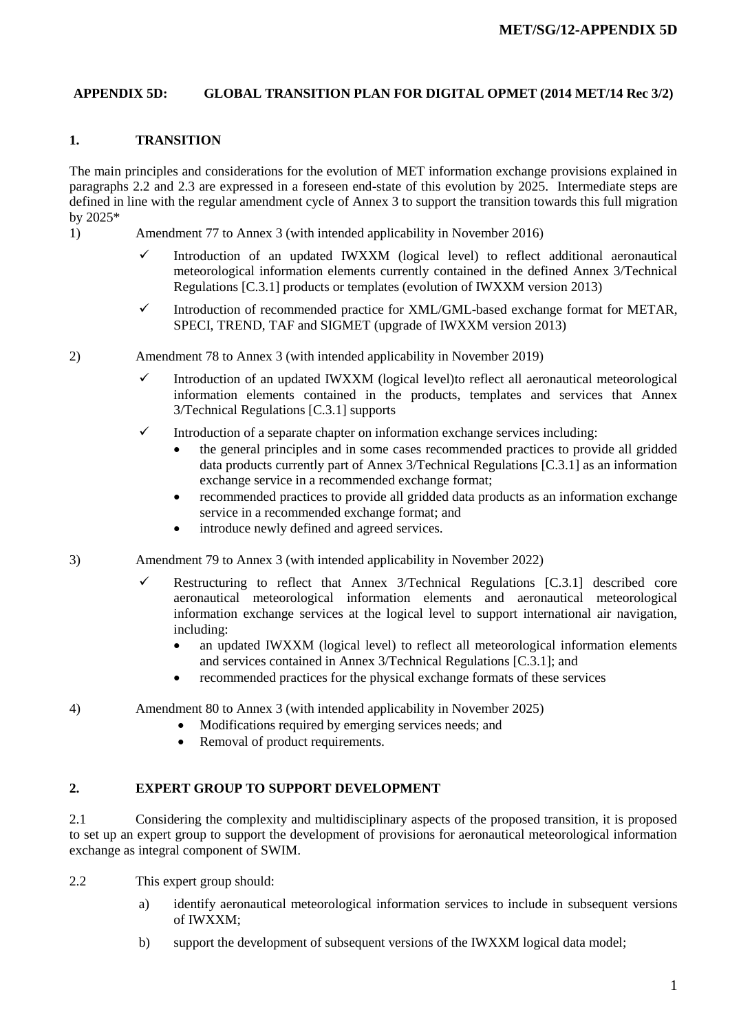## **APPENDIX 5D: GLOBAL TRANSITION PLAN FOR DIGITAL OPMET (2014 MET/14 Rec 3/2)**

## **1. TRANSITION**

The main principles and considerations for the evolution of MET information exchange provisions explained in paragraphs 2.2 and 2.3 are expressed in a foreseen end-state of this evolution by 2025. Intermediate steps are defined in line with the regular amendment cycle of Annex 3 to support the transition towards this full migration by 2025\*

- 1) Amendment 77 to Annex 3 (with intended applicability in November 2016)
	- $\checkmark$  Introduction of an updated IWXXM (logical level) to reflect additional aeronautical meteorological information elements currently contained in the defined Annex 3/Technical Regulations [C.3.1] products or templates (evolution of IWXXM version 2013)
	- $\checkmark$  Introduction of recommended practice for XML/GML-based exchange format for METAR, SPECI, TREND, TAF and SIGMET (upgrade of IWXXM version 2013)
- 2) Amendment 78 to Annex 3 (with intended applicability in November 2019)
	- $\checkmark$  Introduction of an updated IWXXM (logical level)to reflect all aeronautical meteorological information elements contained in the products, templates and services that Annex 3/Technical Regulations [C.3.1] supports
	- $\checkmark$  Introduction of a separate chapter on information exchange services including:
		- the general principles and in some cases recommended practices to provide all gridded data products currently part of Annex 3/Technical Regulations [C.3.1] as an information exchange service in a recommended exchange format;
		- recommended practices to provide all gridded data products as an information exchange service in a recommended exchange format; and
		- introduce newly defined and agreed services.
- 3) Amendment 79 to Annex 3 (with intended applicability in November 2022)
	- Restructuring to reflect that Annex 3/Technical Regulations  $[C.3.1]$  described core aeronautical meteorological information elements and aeronautical meteorological information exchange services at the logical level to support international air navigation, including:
		- an updated IWXXM (logical level) to reflect all meteorological information elements and services contained in Annex 3/Technical Regulations [C.3.1]; and
		- recommended practices for the physical exchange formats of these services
- 4) Amendment 80 to Annex 3 (with intended applicability in November 2025)
	- Modifications required by emerging services needs; and
		- Removal of product requirements.

## **2. EXPERT GROUP TO SUPPORT DEVELOPMENT**

2.1 Considering the complexity and multidisciplinary aspects of the proposed transition, it is proposed to set up an expert group to support the development of provisions for aeronautical meteorological information exchange as integral component of SWIM.

- 2.2 This expert group should:
	- a) identify aeronautical meteorological information services to include in subsequent versions of IWXXM;
	- b) support the development of subsequent versions of the IWXXM logical data model;